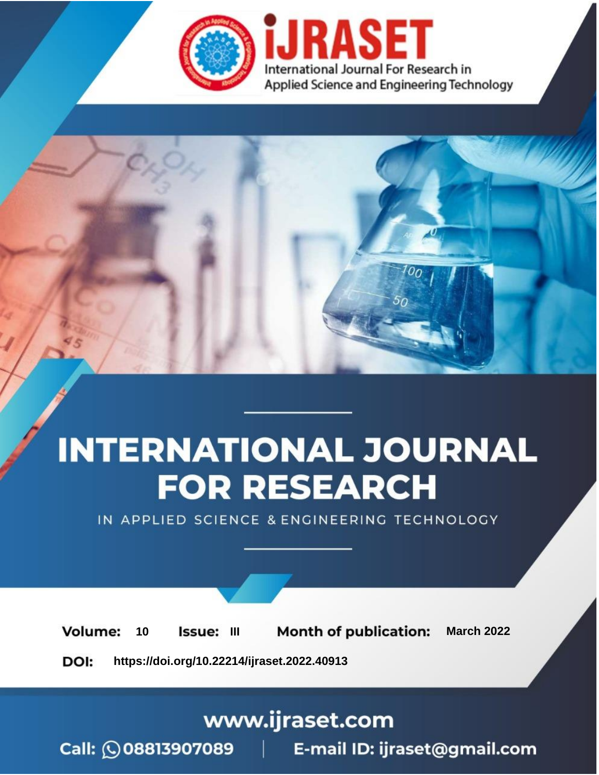

# **INTERNATIONAL JOURNAL FOR RESEARCH**

IN APPLIED SCIENCE & ENGINEERING TECHNOLOGY

**Month of publication: Volume:** 10 Issue: III **March 2022** DOI: https://doi.org/10.22214/ijraset.2022.40913

www.ijraset.com

Call: 008813907089 | E-mail ID: ijraset@gmail.com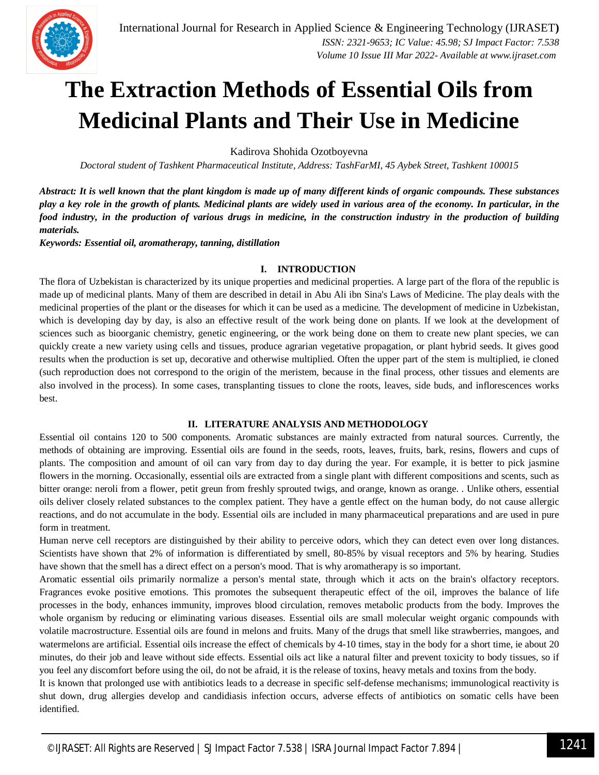

### **The Extraction Methods of Essential Oils from Medicinal Plants and Their Use in Medicine**

Kadirova Shohida Ozotboyevna

*Doctoral student of Tashkent Pharmaceutical Institute, Address: TashFarMI, 45 Aybek Street, Tashkent 100015*

*Abstract: It is well known that the plant kingdom is made up of many different kinds of organic compounds. These substances play a key role in the growth of plants. Medicinal plants are widely used in various area of the economy. In particular, in the food industry, in the production of various drugs in medicine, in the construction industry in the production of building materials.*

*Keywords: Essential oil, aromatherapy, tanning, distillation*

#### **I. INTRODUCTION**

The flora of Uzbekistan is characterized by its unique properties and medicinal properties. A large part of the flora of the republic is made up of medicinal plants. Many of them are described in detail in Abu Ali ibn Sina's Laws of Medicine. The play deals with the medicinal properties of the plant or the diseases for which it can be used as a medicine. The development of medicine in Uzbekistan, which is developing day by day, is also an effective result of the work being done on plants. If we look at the development of sciences such as bioorganic chemistry, genetic engineering, or the work being done on them to create new plant species, we can quickly create a new variety using cells and tissues, produce agrarian vegetative propagation, or plant hybrid seeds. It gives good results when the production is set up, decorative and otherwise multiplied. Often the upper part of the stem is multiplied, ie cloned (such reproduction does not correspond to the origin of the meristem, because in the final process, other tissues and elements are also involved in the process). In some cases, transplanting tissues to clone the roots, leaves, side buds, and inflorescences works best.

#### **II. LITERATURE ANALYSIS AND METHODOLOGY**

Essential oil contains 120 to 500 components. Aromatic substances are mainly extracted from natural sources. Currently, the methods of obtaining are improving. Essential oils are found in the seeds, roots, leaves, fruits, bark, resins, flowers and cups of plants. The composition and amount of oil can vary from day to day during the year. For example, it is better to pick jasmine flowers in the morning. Occasionally, essential oils are extracted from a single plant with different compositions and scents, such as bitter orange: neroli from a flower, petit greun from freshly sprouted twigs, and orange, known as orange. . Unlike others, essential oils deliver closely related substances to the complex patient. They have a gentle effect on the human body, do not cause allergic reactions, and do not accumulate in the body. Essential oils are included in many pharmaceutical preparations and are used in pure form in treatment.

Human nerve cell receptors are distinguished by their ability to perceive odors, which they can detect even over long distances. Scientists have shown that 2% of information is differentiated by smell, 80-85% by visual receptors and 5% by hearing. Studies have shown that the smell has a direct effect on a person's mood. That is why aromatherapy is so important.

Aromatic essential oils primarily normalize a person's mental state, through which it acts on the brain's olfactory receptors. Fragrances evoke positive emotions. This promotes the subsequent therapeutic effect of the oil, improves the balance of life processes in the body, enhances immunity, improves blood circulation, removes metabolic products from the body. Improves the whole organism by reducing or eliminating various diseases. Essential oils are small molecular weight organic compounds with volatile macrostructure. Essential oils are found in melons and fruits. Many of the drugs that smell like strawberries, mangoes, and watermelons are artificial. Essential oils increase the effect of chemicals by 4-10 times, stay in the body for a short time, ie about 20 minutes, do their job and leave without side effects. Essential oils act like a natural filter and prevent toxicity to body tissues, so if you feel any discomfort before using the oil, do not be afraid, it is the release of toxins, heavy metals and toxins from the body.

It is known that prolonged use with antibiotics leads to a decrease in specific self-defense mechanisms; immunological reactivity is shut down, drug allergies develop and candidiasis infection occurs, adverse effects of antibiotics on somatic cells have been identified.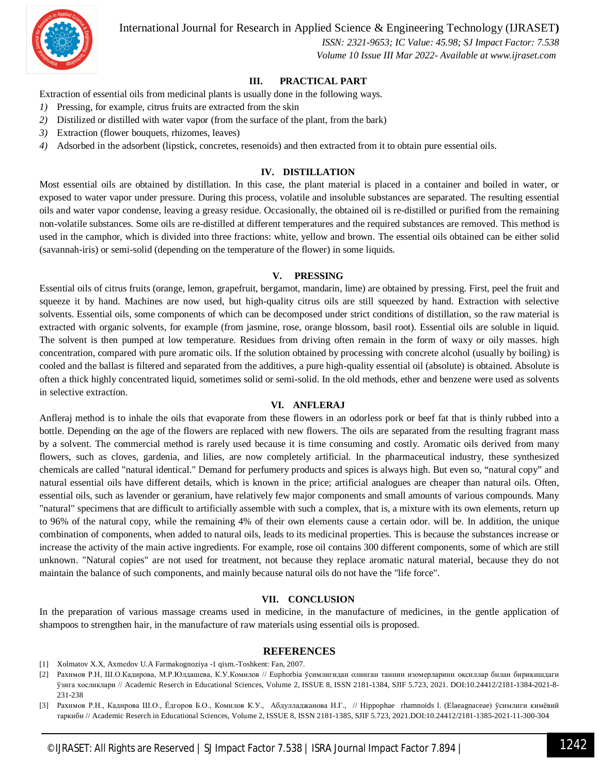International Journal for Research in Applied Science & Engineering Technology (IJRASET**)**



 *ISSN: 2321-9653; IC Value: 45.98; SJ Impact Factor: 7.538 Volume 10 Issue III Mar 2022- Available at www.ijraset.com*

#### **III. PRACTICAL PART**

Extraction of essential oils from medicinal plants is usually done in the following ways.

- *1)* Pressing, for example, citrus fruits are extracted from the skin
- *2)* Distilized or distilled with water vapor (from the surface of the plant, from the bark)
- *3)* Extraction (flower bouquets, rhizomes, leaves)
- *4)* Adsorbed in the adsorbent (lipstick, concretes, resenoids) and then extracted from it to obtain pure essential oils.

#### **IV. DISTILLATION**

Most essential oils are obtained by distillation. In this case, the plant material is placed in a container and boiled in water, or exposed to water vapor under pressure. During this process, volatile and insoluble substances are separated. The resulting essential oils and water vapor condense, leaving a greasy residue. Occasionally, the obtained oil is re-distilled or purified from the remaining non-volatile substances. Some oils are re-distilled at different temperatures and the required substances are removed. This method is used in the camphor, which is divided into three fractions: white, yellow and brown. The essential oils obtained can be either solid (savannah-iris) or semi-solid (depending on the temperature of the flower) in some liquids.

#### **V. PRESSING**

Essential oils of citrus fruits (orange, lemon, grapefruit, bergamot, mandarin, lime) are obtained by pressing. First, peel the fruit and squeeze it by hand. Machines are now used, but high-quality citrus oils are still squeezed by hand. Extraction with selective solvents. Essential oils, some components of which can be decomposed under strict conditions of distillation, so the raw material is extracted with organic solvents, for example (from jasmine, rose, orange blossom, basil root). Essential oils are soluble in liquid. The solvent is then pumped at low temperature. Residues from driving often remain in the form of waxy or oily masses. high concentration, compared with pure aromatic oils. If the solution obtained by processing with concrete alcohol (usually by boiling) is cooled and the ballast is filtered and separated from the additives, a pure high-quality essential oil (absolute) is obtained. Absolute is often a thick highly concentrated liquid, sometimes solid or semi-solid. In the old methods, ether and benzene were used as solvents in selective extraction.

#### **VI. ANFLERAJ**

Anfleraj method is to inhale the oils that evaporate from these flowers in an odorless pork or beef fat that is thinly rubbed into a bottle. Depending on the age of the flowers are replaced with new flowers. The oils are separated from the resulting fragrant mass by a solvent. The commercial method is rarely used because it is time consuming and costly. Aromatic oils derived from many flowers, such as cloves, gardenia, and lilies, are now completely artificial. In the pharmaceutical industry, these synthesized chemicals are called "natural identical." Demand for perfumery products and spices is always high. But even so, "natural copy" and natural essential oils have different details, which is known in the price; artificial analogues are cheaper than natural oils. Often, essential oils, such as lavender or geranium, have relatively few major components and small amounts of various compounds. Many "natural" specimens that are difficult to artificially assemble with such a complex, that is, a mixture with its own elements, return up to 96% of the natural copy, while the remaining 4% of their own elements cause a certain odor. will be. In addition, the unique combination of components, when added to natural oils, leads to its medicinal properties. This is because the substances increase or increase the activity of the main active ingredients. For example, rose oil contains 300 different components, some of which are still unknown. "Natural copies" are not used for treatment, not because they replace aromatic natural material, because they do not maintain the balance of such components, and mainly because natural oils do not have the "life force".

#### **VII. CONCLUSION**

In the preparation of various massage creams used in medicine, in the manufacture of medicines, in the gentle application of shampoos to strengthen hair, in the manufacture of raw materials using essential oils is proposed.

#### **REFERENCES**

- [1] Xolmatov X.X, Axmеdov U.A Farmakognoziya -1 qism.-Toshkent: Fan, 2007.
- [2] Рахимов Р.Н, Ш.О.Кадирова, М.Р.Юлдашева, К.У.Комилов // Euphorbia ўсимлигидан олинган таннин изомерларини оқсиллар билан бирикишдаги ўзига хосликлари // Academic Reserch in Educational Sciences, Volume 2, ISSUE 8, ISSN 2181-1384, SJIF 5.723, 2021. DOI:10.24412/2181-1384-2021-8- 231-238
- [3] Рахимов Р.Н., Кадирова Ш.О., Ёдгоров Б.О., Комилов К.У., Абдулладжанова Н.Г., // Нippophae rhamnoids l. (Elaeagnaceae) ўсимлиги кимёвий таркиби // Academic Reserch in Educational Sciences, Volume 2, ISSUE 8, ISSN 2181-1385, SJIF 5.723, 2021.DOI:10.24412/2181-1385-2021-11-300-304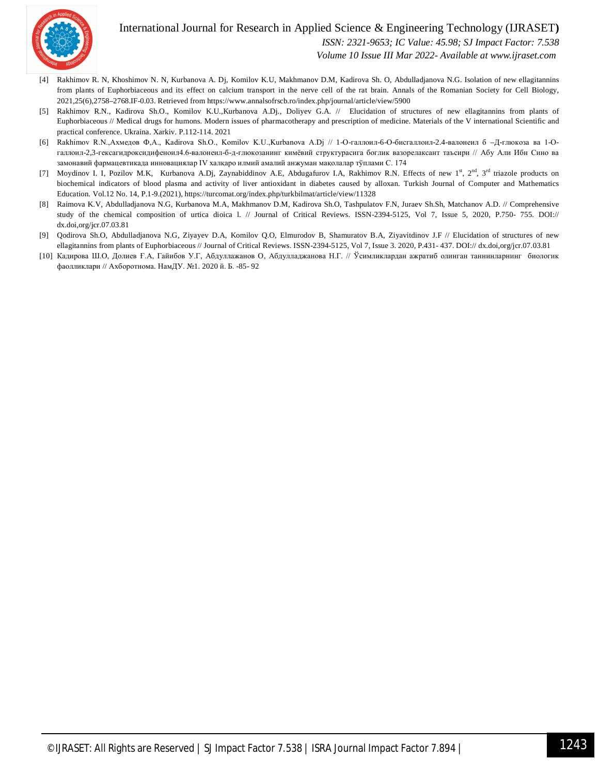

#### International Journal for Research in Applied Science & Engineering Technology (IJRASET**)**

 *ISSN: 2321-9653; IC Value: 45.98; SJ Impact Factor: 7.538*

 *Volume 10 Issue III Mar 2022- Available at www.ijraset.com*

- [4] Rakhimov R. N, Khoshimov N. N, Kurbanova A. Dj, Komilov K.U, Makhmanov D.M, Kadirova Sh. O, Abdulladjanova N.G. Isolation of new ellagitannins from plants of Euphorbiaceous and its effect on calcium transport in the nerve cell of the rat brain. Annals of the Romanian Society for Cell Biology, 2021,25(6),2758–2768.IF-0.03. Retrieved from https://www.annalsofrscb.ro/index.php/journal/article/view/5900
- [5] Rakhimov R.N., Kadirova Sh.O., Komilov K.U.,Kurbanova A.Dj., Doliyev G.A. // Elucidation of structures of new ellagitannins from plants of Euphorbiaceous // Medical drugs for humons. Modern issues of pharmacotherapy and prescription of medicine. Materials of the V international Scientific and practical conference. Ukraina. Xarkiv. P.112-114. 2021
- [6] Rakhimov R.N.,Ахмедов Ф,А., Kadirova Sh.O., Komilov K.U.,Kurbanova A.Dj // 1-О-галлоил-6-О-бисгаллоил-2.4-валонеил б –Д-глюкоза ва 1-Огаллоил-2,3-гексагидроксидифеноил4.6-валонеил-б-д-глюкозанинг кимёвий структурасига боглик вазорелаксант таъсири // Абу Али Ибн Сино ва замонавий фармацевтикада инновациялар IV халқаро илмий амалий анжуман мақолалар тўплами C. 174
- [7] Moydinov I. I, Pozilov M.K, Kurbanova A.Dj, Zaynabiddinov A.E, Abdugafurov I.A, Rakhimov R.N. Effects of new 1<sup>st</sup>, 2<sup>nd</sup>, 3<sup>rd</sup> triazole products on biochemical indicators of blood plasma and activity of liver antioxidant in diabetes caused by alloxan. Turkish Journal of Computer and Mathematics Education. Vol.12 No. 14, P.1-9.(2021), https://turcomat.org/index.php/turkbilmat/article/view/11328
- [8] Raimova K.V, Abdulladjanova N.G, Kurbanova M.A, Makhmanov D.M, Kadirova Sh.O, Tashpulatov F.N, Juraev Sh.Sh, Matchanov A.D. // Comprehensive study of the chemical composition of urtica dioica l. // Journal of Critical Reviews. ISSN-2394-5125, Vol 7, Issue 5, 2020, P.750- 755. DOI:// dx.doi,org/jcr.07.03.81
- [9] Qodirova Sh.O, Abdulladjanova N.G, Ziyayev D.A, Komilov Q.O, Elmurodov B, Shamuratov B.A, Ziyavitdinov J.F // Elucidation of structures of new ellagitannins from plants of Euphorbiaceous // Journal of Critical Reviews. ISSN-2394-5125, Vol 7, Issue 3. 2020, P.431- 437. DOI:// dx.doi,org/jcr.07.03.81
- [10] Кадирова Ш.О, Долиев Ғ.А, Гайибов У.Г, Абдуллажанов О, Абдулладжанова Н.Г. // Ўсимликлардан ажратиб олинган таннинларнинг биологик фаолликлари // Ахборотнома. НамДУ. №1. 2020 й. Б. -85- 92